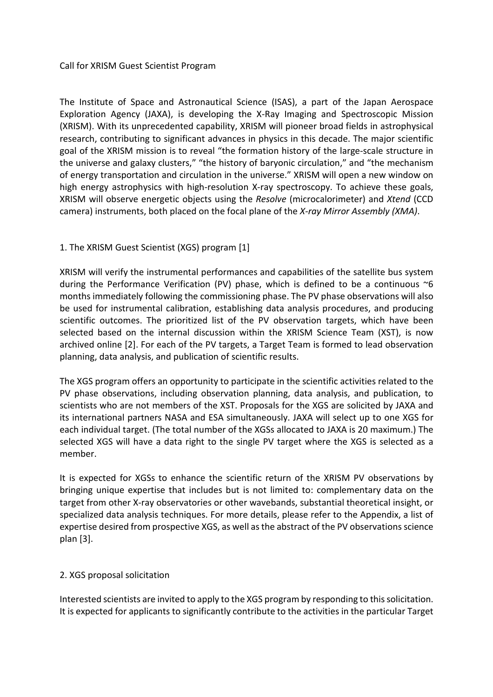### Call for XRISM Guest Scientist Program

The Institute of Space and Astronautical Science (ISAS), a part of the Japan Aerospace Exploration Agency (JAXA), is developing the X-Ray Imaging and Spectroscopic Mission (XRISM). With its unprecedented capability, XRISM will pioneer broad fields in astrophysical research, contributing to significant advances in physics in this decade. The major scientific goal of the XRISM mission is to reveal "the formation history of the large-scale structure in the universe and galaxy clusters," "the history of baryonic circulation," and "the mechanism of energy transportation and circulation in the universe." XRISM will open a new window on high energy astrophysics with high-resolution X-ray spectroscopy. To achieve these goals, XRISM will observe energetic objects using the *Resolve* (microcalorimeter) and *Xtend* (CCD camera) instruments, both placed on the focal plane of the *X-ray Mirror Assembly (XMA)*.

## 1. The XRISM Guest Scientist (XGS) program [1]

XRISM will verify the instrumental performances and capabilities of the satellite bus system during the Performance Verification (PV) phase, which is defined to be a continuous  $\sim$ 6 months immediately following the commissioning phase. The PV phase observations will also be used for instrumental calibration, establishing data analysis procedures, and producing scientific outcomes. The prioritized list of the PV observation targets, which have been selected based on the internal discussion within the XRISM Science Team (XST), is now archived online [2]. For each of the PV targets, a Target Team is formed to lead observation planning, data analysis, and publication of scientific results.

The XGS program offers an opportunity to participate in the scientific activities related to the PV phase observations, including observation planning, data analysis, and publication, to scientists who are not members of the XST. Proposals for the XGS are solicited by JAXA and its international partners NASA and ESA simultaneously. JAXA will select up to one XGS for each individual target. (The total number of the XGSs allocated to JAXA is 20 maximum.) The selected XGS will have a data right to the single PV target where the XGS is selected as a member.

It is expected for XGSs to enhance the scientific return of the XRISM PV observations by bringing unique expertise that includes but is not limited to: complementary data on the target from other X-ray observatories or other wavebands, substantial theoretical insight, or specialized data analysis techniques. For more details, please refer to the Appendix, a list of expertise desired from prospective XGS, as well as the abstract of the PV observations science plan [3].

## 2. XGS proposal solicitation

Interested scientists are invited to apply to the XGS program by responding to this solicitation. It is expected for applicants to significantly contribute to the activities in the particular Target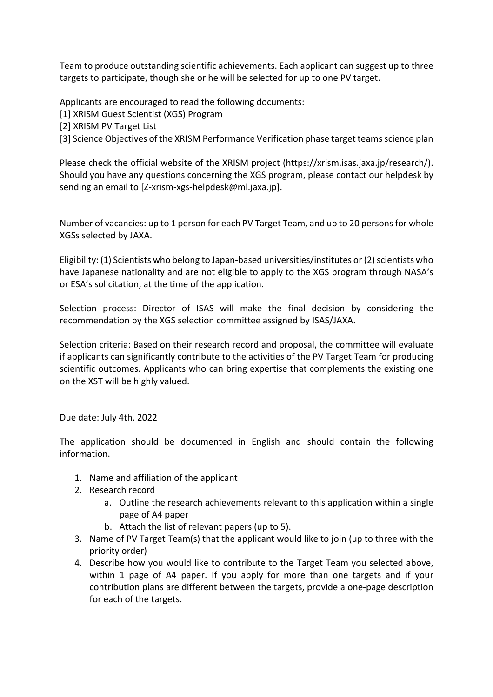Team to produce outstanding scientific achievements. Each applicant can suggest up to three targets to participate, though she or he will be selected for up to one PV target.

Applicants are encouraged to read the following documents:

[1] XRISM Guest Scientist (XGS) Program

[2] XRISM PV Target List

[3] Science Objectives of the XRISM Performance Verification phase target teams science plan

Please check the official website of the XRISM project (https://xrism.isas.jaxa.jp/research/). Should you have any questions concerning the XGS program, please contact our helpdesk by sending an email to [Z-xrism-xgs-helpdesk@ml.jaxa.jp].

Number of vacancies: up to 1 person for each PV Target Team, and up to 20 persons for whole XGSs selected by JAXA.

Eligibility: (1) Scientists who belong to Japan-based universities/institutes or (2) scientists who have Japanese nationality and are not eligible to apply to the XGS program through NASA's or ESA's solicitation, at the time of the application.

Selection process: Director of ISAS will make the final decision by considering the recommendation by the XGS selection committee assigned by ISAS/JAXA.

Selection criteria: Based on their research record and proposal, the committee will evaluate if applicants can significantly contribute to the activities of the PV Target Team for producing scientific outcomes. Applicants who can bring expertise that complements the existing one on the XST will be highly valued.

Due date: July 4th, 2022

The application should be documented in English and should contain the following information.

- 1. Name and affiliation of the applicant
- 2. Research record
	- a. Outline the research achievements relevant to this application within a single page of A4 paper
	- b. Attach the list of relevant papers (up to 5).
- 3. Name of PV Target Team(s) that the applicant would like to join (up to three with the priority order)
- 4. Describe how you would like to contribute to the Target Team you selected above, within 1 page of A4 paper. If you apply for more than one targets and if your contribution plans are different between the targets, provide a one-page description for each of the targets.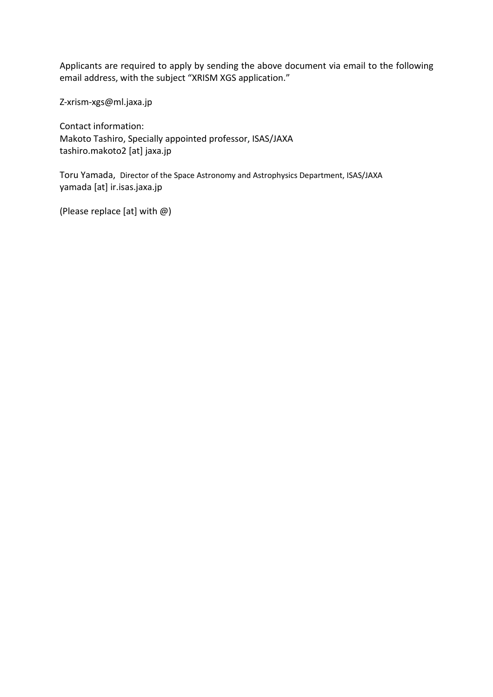Applicants are required to apply by sending the above document via email to the following email address, with the subject "XRISM XGS application."

Z-xrism-xgs@ml.jaxa.jp

Contact information: Makoto Tashiro, Specially appointed professor, ISAS/JAXA tashiro.makoto2 [at] jaxa.jp

Toru Yamada, Director of the Space Astronomy and Astrophysics Department, ISAS/JAXA yamada [at] ir.isas.jaxa.jp

(Please replace [at] with @)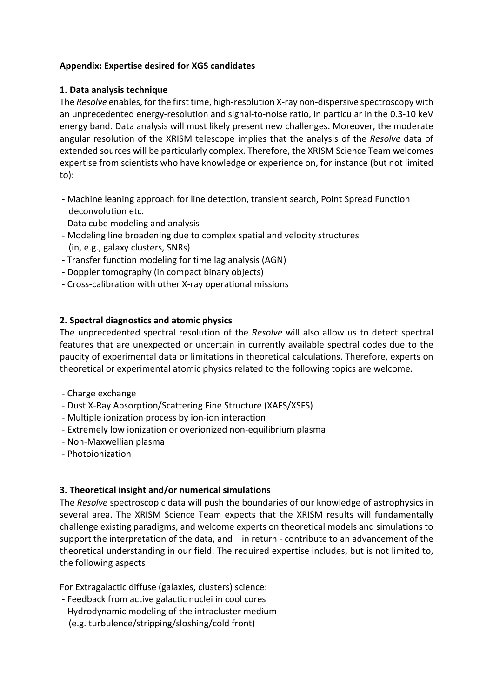## **Appendix: Expertise desired for XGS candidates**

## **1. Data analysis technique**

The *Resolve* enables, for the first time, high-resolution X-ray non-dispersive spectroscopy with an unprecedented energy-resolution and signal-to-noise ratio, in particular in the 0.3-10 keV energy band. Data analysis will most likely present new challenges. Moreover, the moderate angular resolution of the XRISM telescope implies that the analysis of the *Resolve* data of extended sources will be particularly complex. Therefore, the XRISM Science Team welcomes expertise from scientists who have knowledge or experience on, for instance (but not limited to):

- Machine leaning approach for line detection, transient search, Point Spread Function deconvolution etc.
- Data cube modeling and analysis
- Modeling line broadening due to complex spatial and velocity structures (in, e.g., galaxy clusters, SNRs)
- Transfer function modeling for time lag analysis (AGN)
- Doppler tomography (in compact binary objects)
- Cross-calibration with other X-ray operational missions

# **2. Spectral diagnostics and atomic physics**

The unprecedented spectral resolution of the *Resolve* will also allow us to detect spectral features that are unexpected or uncertain in currently available spectral codes due to the paucity of experimental data or limitations in theoretical calculations. Therefore, experts on theoretical or experimental atomic physics related to the following topics are welcome.

- Charge exchange
- Dust X-Ray Absorption/Scattering Fine Structure (XAFS/XSFS)
- Multiple ionization process by ion-ion interaction
- Extremely low ionization or overionized non-equilibrium plasma
- Non-Maxwellian plasma
- Photoionization

## **3. Theoretical insight and/or numerical simulations**

The *Resolve* spectroscopic data will push the boundaries of our knowledge of astrophysics in several area. The XRISM Science Team expects that the XRISM results will fundamentally challenge existing paradigms, and welcome experts on theoretical models and simulations to support the interpretation of the data, and – in return - contribute to an advancement of the theoretical understanding in our field. The required expertise includes, but is not limited to, the following aspects

For Extragalactic diffuse (galaxies, clusters) science:

- Feedback from active galactic nuclei in cool cores
- Hydrodynamic modeling of the intracluster medium (e.g. turbulence/stripping/sloshing/cold front)